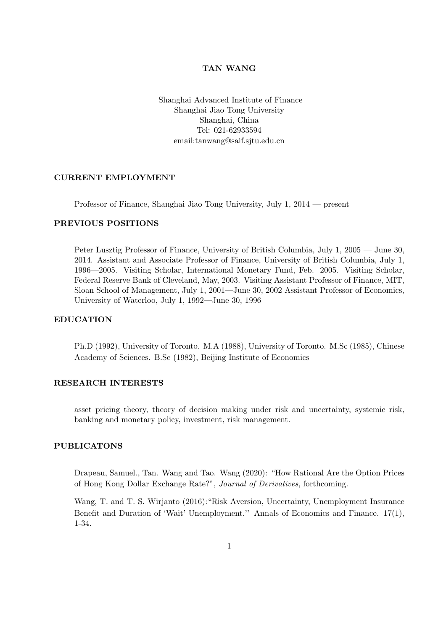#### TAN WANG

Shanghai Advanced Institute of Finance Shanghai Jiao Tong University Shanghai, China Tel: 021-62933594 email:tanwang@saif.sjtu.edu.cn

# CURRENT EMPLOYMENT

Professor of Finance, Shanghai Jiao Tong University, July 1, 2014 — present

### PREVIOUS POSITIONS

Peter Lusztig Professor of Finance, University of British Columbia, July 1, 2005 — June 30, 2014. Assistant and Associate Professor of Finance, University of British Columbia, July 1, 1996—2005. Visiting Scholar, International Monetary Fund, Feb. 2005. Visiting Scholar, Federal Reserve Bank of Cleveland, May, 2003. Visiting Assistant Professor of Finance, MIT, Sloan School of Management, July 1, 2001—June 30, 2002 Assistant Professor of Economics, University of Waterloo, July 1, 1992—June 30, 1996

# EDUCATION

Ph.D (1992), University of Toronto. M.A (1988), University of Toronto. M.Sc (1985), Chinese Academy of Sciences. B.Sc (1982), Beijing Institute of Economics

# RESEARCH INTERESTS

asset pricing theory, theory of decision making under risk and uncertainty, systemic risk, banking and monetary policy, investment, risk management.

# PUBLICATONS

Drapeau, Samuel., Tan. Wang and Tao. Wang (2020): "How Rational Are the Option Prices of Hong Kong Dollar Exchange Rate?", Journal of Derivatives, forthcoming.

Wang, T. and T. S. Wirjanto (2016):"Risk Aversion, Uncertainty, Unemployment Insurance Benefit and Duration of 'Wait' Unemployment.'' Annals of Economics and Finance. 17(1), 1-34.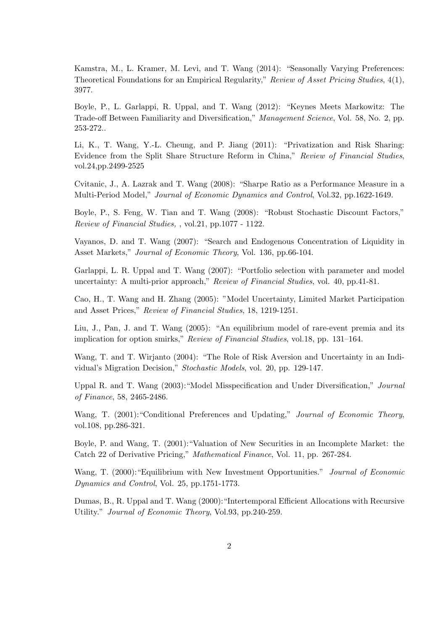Kamstra, M., L. Kramer, M. Levi, and T. Wang (2014): "Seasonally Varying Preferences: Theoretical Foundations for an Empirical Regularity," Review of Asset Pricing Studies, 4(1), 3977.

Boyle, P., L. Garlappi, R. Uppal, and T. Wang (2012): "Keynes Meets Markowitz: The Trade-off Between Familiarity and Diversification," Management Science, Vol. 58, No. 2, pp. 253-272..

Li, K., T. Wang, Y.-L. Cheung, and P. Jiang (2011): "Privatization and Risk Sharing: Evidence from the Split Share Structure Reform in China," Review of Financial Studies, vol.24,pp.2499-2525

Cvitanic, J., A. Lazrak and T. Wang (2008): "Sharpe Ratio as a Performance Measure in a Multi-Period Model," Journal of Economic Dynamics and Control, Vol.32, pp.1622-1649.

Boyle, P., S. Feng, W. Tian and T. Wang (2008): "Robust Stochastic Discount Factors," Review of Financial Studies, , vol.21, pp.1077 - 1122.

Vayanos, D. and T. Wang (2007): "Search and Endogenous Concentration of Liquidity in Asset Markets," Journal of Economic Theory, Vol. 136, pp.66-104.

Garlappi, L. R. Uppal and T. Wang (2007): "Portfolio selection with parameter and model uncertainty: A multi-prior approach," Review of Financial Studies, vol. 40, pp.41-81.

Cao, H., T. Wang and H. Zhang (2005): "Model Uncertainty, Limited Market Participation and Asset Prices," Review of Financial Studies, 18, 1219-1251.

Liu, J., Pan, J. and T. Wang (2005): "An equilibrium model of rare-event premia and its implication for option smirks," Review of Financial Studies, vol.18, pp. 131–164.

Wang, T. and T. Wirjanto (2004): "The Role of Risk Aversion and Uncertainty in an Individual's Migration Decision," Stochastic Models, vol. 20, pp. 129-147.

Uppal R. and T. Wang (2003):"Model Misspecification and Under Diversification," Journal of Finance, 58, 2465-2486.

Wang, T. (2001): "Conditional Preferences and Updating," Journal of Economic Theory, vol.108, pp.286-321.

Boyle, P. and Wang, T. (2001):"Valuation of New Securities in an Incomplete Market: the Catch 22 of Derivative Pricing," Mathematical Finance, Vol. 11, pp. 267-284.

Wang, T. (2000): "Equilibrium with New Investment Opportunities." Journal of Economic Dynamics and Control, Vol. 25, pp.1751-1773.

Dumas, B., R. Uppal and T. Wang (2000):"Intertemporal Efficient Allocations with Recursive Utility." Journal of Economic Theory, Vol.93, pp.240-259.